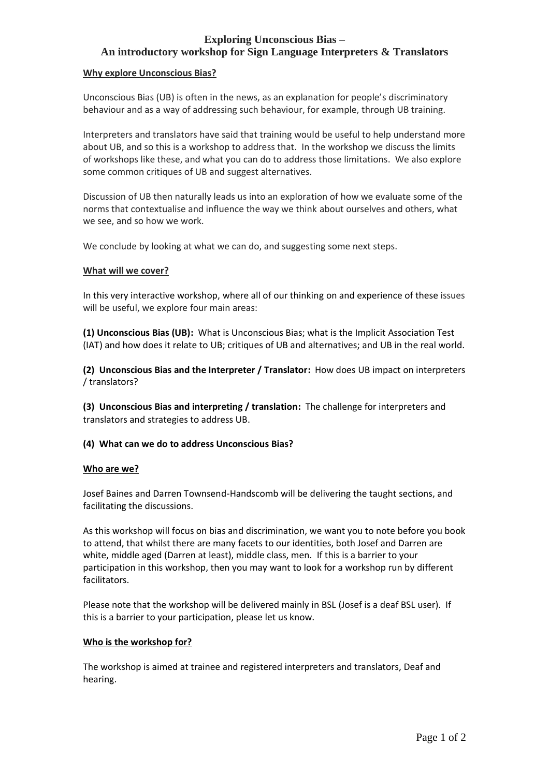# **Exploring Unconscious Bias – An introductory workshop for Sign Language Interpreters & Translators**

#### **Why explore Unconscious Bias?**

Unconscious Bias (UB) is often in the news, as an explanation for people's discriminatory behaviour and as a way of addressing such behaviour, for example, through UB training.

Interpreters and translators have said that training would be useful to help understand more about UB, and so this is a workshop to address that. In the workshop we discuss the limits of workshops like these, and what you can do to address those limitations. We also explore some common critiques of UB and suggest alternatives.

Discussion of UB then naturally leads us into an exploration of how we evaluate some of the norms that contextualise and influence the way we think about ourselves and others, what we see, and so how we work.

We conclude by looking at what we can do, and suggesting some next steps.

## **What will we cover?**

In this very interactive workshop, where all of our thinking on and experience of these issues will be useful, we explore four main areas:

**(1) Unconscious Bias (UB):** What is Unconscious Bias; what is the Implicit Association Test (IAT) and how does it relate to UB; critiques of UB and alternatives; and UB in the real world.

**(2) Unconscious Bias and the Interpreter / Translator:** How does UB impact on interpreters / translators?

**(3) Unconscious Bias and interpreting / translation:** The challenge for interpreters and translators and strategies to address UB.

## **(4) What can we do to address Unconscious Bias?**

#### **Who are we?**

Josef Baines and Darren Townsend-Handscomb will be delivering the taught sections, and facilitating the discussions.

As this workshop will focus on bias and discrimination, we want you to note before you book to attend, that whilst there are many facets to our identities, both Josef and Darren are white, middle aged (Darren at least), middle class, men. If this is a barrier to your participation in this workshop, then you may want to look for a workshop run by different facilitators.

Please note that the workshop will be delivered mainly in BSL (Josef is a deaf BSL user). If this is a barrier to your participation, please let us know.

#### **Who is the workshop for?**

The workshop is aimed at trainee and registered interpreters and translators, Deaf and hearing.